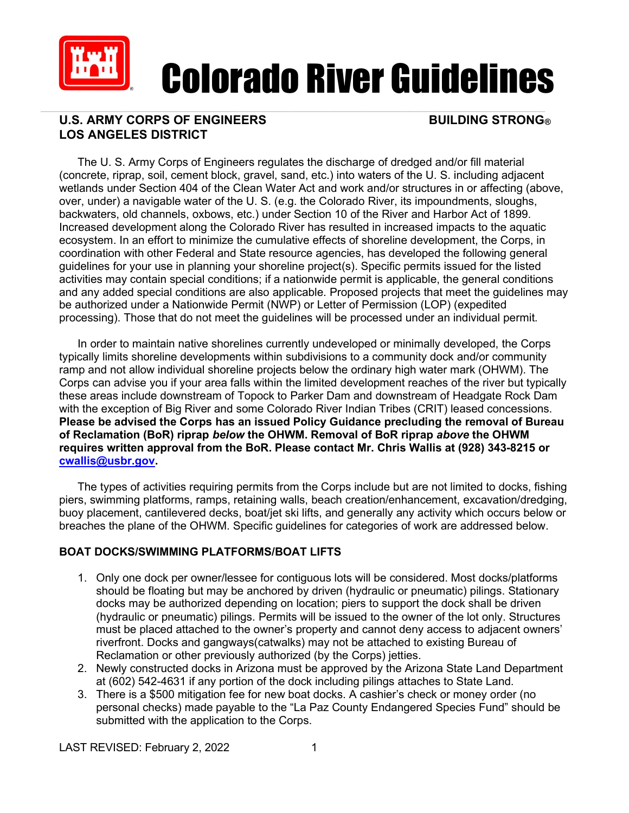

# Colorado River Guidelines

#### $\frac{1}{2}$  ,  $\frac{1}{2}$  ,  $\frac{1}{2}$  ,  $\frac{1}{2}$  ,  $\frac{1}{2}$  ,  $\frac{1}{2}$  ,  $\frac{1}{2}$  ,  $\frac{1}{2}$  ,  $\frac{1}{2}$  ,  $\frac{1}{2}$  ,  $\frac{1}{2}$  ,  $\frac{1}{2}$  ,  $\frac{1}{2}$  ,  $\frac{1}{2}$  ,  $\frac{1}{2}$  ,  $\frac{1}{2}$  ,  $\frac{1}{2}$  ,  $\frac{1}{2}$  ,  $\frac{1$ U.S. ARMY CORPS OF ENGINEERS  $\qquad \qquad \qquad \qquad \qquad \qquad \qquad \qquad \text{BULDING STRONG}$ LOS ANGELES DISTRICT

The U. S. Army Corps of Engineers regulates the discharge of dredged and/or fill material (concrete, riprap, soil, cement block, gravel, sand, etc.) into waters of the U. S. including adjacent wetlands under Section 404 of the Clean Water Act and work and/or structures in or affecting (above, over, under) a navigable water of the U. S. (e.g. the Colorado River, its impoundments, sloughs, backwaters, old channels, oxbows, etc.) under Section 10 of the River and Harbor Act of 1899. Increased development along the Colorado River has resulted in increased impacts to the aquatic ecosystem. In an effort to minimize the cumulative effects of shoreline development, the Corps, in coordination with other Federal and State resource agencies, has developed the following general guidelines for your use in planning your shoreline project(s). Specific permits issued for the listed activities may contain special conditions; if a nationwide permit is applicable, the general conditions and any added special conditions are also applicable. Proposed projects that meet the guidelines may be authorized under a Nationwide Permit (NWP) or Letter of Permission (LOP) (expedited processing). Those that do not meet the guidelines will be processed under an individual permit.

In order to maintain native shorelines currently undeveloped or minimally developed, the Corps typically limits shoreline developments within subdivisions to a community dock and/or community ramp and not allow individual shoreline projects below the ordinary high water mark (OHWM). The Corps can advise you if your area falls within the limited development reaches of the river but typically these areas include downstream of Topock to Parker Dam and downstream of Headgate Rock Dam with the exception of Big River and some Colorado River Indian Tribes (CRIT) leased concessions. Please be advised the Corps has an issued Policy Guidance precluding the removal of Bureau of Reclamation (BoR) riprap below the OHWM. Removal of BoR riprap above the OHWM requires written approval from the BoR. Please contact Mr. Chris Wallis at (928) 343-8215 or cwallis@usbr.gov.

The types of activities requiring permits from the Corps include but are not limited to docks, fishing piers, swimming platforms, ramps, retaining walls, beach creation/enhancement, excavation/dredging, buoy placement, cantilevered decks, boat/jet ski lifts, and generally any activity which occurs below or breaches the plane of the OHWM. Specific guidelines for categories of work are addressed below.

# BOAT DOCKS/SWIMMING PLATFORMS/BOAT LIFTS

- 1. Only one dock per owner/lessee for contiguous lots will be considered. Most docks/platforms should be floating but may be anchored by driven (hydraulic or pneumatic) pilings. Stationary docks may be authorized depending on location; piers to support the dock shall be driven (hydraulic or pneumatic) pilings. Permits will be issued to the owner of the lot only. Structures must be placed attached to the owner's property and cannot deny access to adjacent owners' riverfront. Docks and gangways(catwalks) may not be attached to existing Bureau of Reclamation or other previously authorized (by the Corps) jetties.
- 2. Newly constructed docks in Arizona must be approved by the Arizona State Land Department at (602) 542-4631 if any portion of the dock including pilings attaches to State Land.
- 3. There is a \$500 mitigation fee for new boat docks. A cashier's check or money order (no personal checks) made payable to the "La Paz County Endangered Species Fund" should be submitted with the application to the Corps.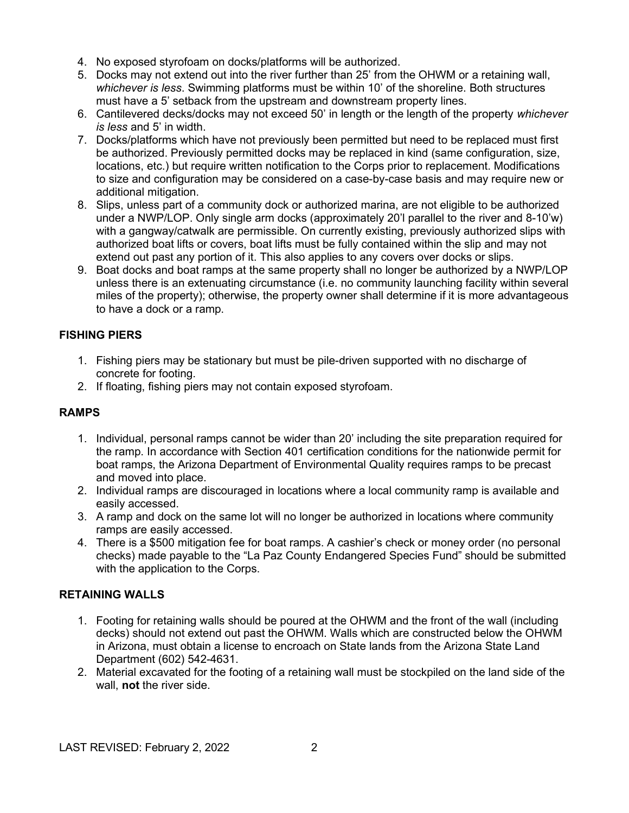- 4. No exposed styrofoam on docks/platforms will be authorized.
- 5. Docks may not extend out into the river further than 25' from the OHWM or a retaining wall, whichever is less. Swimming platforms must be within 10' of the shoreline. Both structures must have a 5' setback from the upstream and downstream property lines.
- 6. Cantilevered decks/docks may not exceed 50' in length or the length of the property whichever is less and 5' in width.
- 7. Docks/platforms which have not previously been permitted but need to be replaced must first be authorized. Previously permitted docks may be replaced in kind (same configuration, size, locations, etc.) but require written notification to the Corps prior to replacement. Modifications to size and configuration may be considered on a case-by-case basis and may require new or additional mitigation.
- 8. Slips, unless part of a community dock or authorized marina, are not eligible to be authorized under a NWP/LOP. Only single arm docks (approximately 20'l parallel to the river and 8-10'w) with a gangway/catwalk are permissible. On currently existing, previously authorized slips with authorized boat lifts or covers, boat lifts must be fully contained within the slip and may not extend out past any portion of it. This also applies to any covers over docks or slips.
- 9. Boat docks and boat ramps at the same property shall no longer be authorized by a NWP/LOP unless there is an extenuating circumstance (i.e. no community launching facility within several miles of the property); otherwise, the property owner shall determine if it is more advantageous to have a dock or a ramp.

# FISHING PIERS

- 1. Fishing piers may be stationary but must be pile-driven supported with no discharge of concrete for footing.
- 2. If floating, fishing piers may not contain exposed styrofoam.

# RAMPS

- 1. Individual, personal ramps cannot be wider than 20' including the site preparation required for the ramp. In accordance with Section 401 certification conditions for the nationwide permit for boat ramps, the Arizona Department of Environmental Quality requires ramps to be precast and moved into place.
- 2. Individual ramps are discouraged in locations where a local community ramp is available and easily accessed.
- 3. A ramp and dock on the same lot will no longer be authorized in locations where community ramps are easily accessed.
- 4. There is a \$500 mitigation fee for boat ramps. A cashier's check or money order (no personal checks) made payable to the "La Paz County Endangered Species Fund" should be submitted with the application to the Corps.

# RETAINING WALLS

- 1. Footing for retaining walls should be poured at the OHWM and the front of the wall (including decks) should not extend out past the OHWM. Walls which are constructed below the OHWM in Arizona, must obtain a license to encroach on State lands from the Arizona State Land Department (602) 542-4631.
- 2. Material excavated for the footing of a retaining wall must be stockpiled on the land side of the wall, not the river side.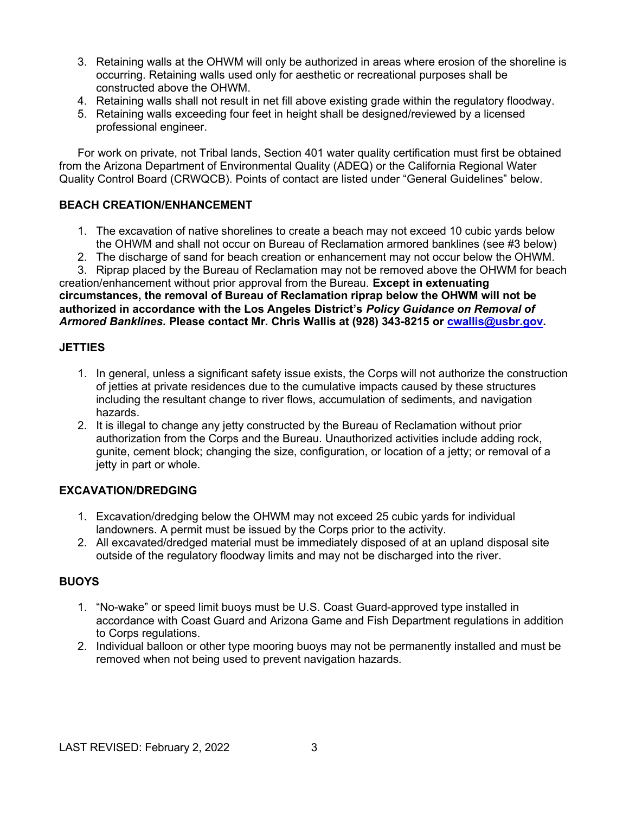- 3. Retaining walls at the OHWM will only be authorized in areas where erosion of the shoreline is occurring. Retaining walls used only for aesthetic or recreational purposes shall be constructed above the OHWM.
- 4. Retaining walls shall not result in net fill above existing grade within the regulatory floodway.
- 5. Retaining walls exceeding four feet in height shall be designed/reviewed by a licensed professional engineer.

For work on private, not Tribal lands, Section 401 water quality certification must first be obtained from the Arizona Department of Environmental Quality (ADEQ) or the California Regional Water Quality Control Board (CRWQCB). Points of contact are listed under "General Guidelines" below.

#### BEACH CREATION/ENHANCEMENT

- 1. The excavation of native shorelines to create a beach may not exceed 10 cubic yards below the OHWM and shall not occur on Bureau of Reclamation armored banklines (see #3 below)
- 2. The discharge of sand for beach creation or enhancement may not occur below the OHWM.
- 3. Riprap placed by the Bureau of Reclamation may not be removed above the OHWM for beach

creation/enhancement without prior approval from the Bureau. Except in extenuating circumstances, the removal of Bureau of Reclamation riprap below the OHWM will not be authorized in accordance with the Los Angeles District's Policy Guidance on Removal of Armored Banklines. Please contact Mr. Chris Wallis at (928) 343-8215 or cwallis@usbr.gov.

#### **JETTIES**

- 1. In general, unless a significant safety issue exists, the Corps will not authorize the construction of jetties at private residences due to the cumulative impacts caused by these structures including the resultant change to river flows, accumulation of sediments, and navigation hazards.
- 2. It is illegal to change any jetty constructed by the Bureau of Reclamation without prior authorization from the Corps and the Bureau. Unauthorized activities include adding rock, gunite, cement block; changing the size, configuration, or location of a jetty; or removal of a jetty in part or whole.

#### EXCAVATION/DREDGING

- 1. Excavation/dredging below the OHWM may not exceed 25 cubic yards for individual landowners. A permit must be issued by the Corps prior to the activity.
- 2. All excavated/dredged material must be immediately disposed of at an upland disposal site outside of the regulatory floodway limits and may not be discharged into the river.

#### BUOYS

- 1. "No-wake" or speed limit buoys must be U.S. Coast Guard-approved type installed in accordance with Coast Guard and Arizona Game and Fish Department regulations in addition to Corps regulations.
- 2. Individual balloon or other type mooring buoys may not be permanently installed and must be removed when not being used to prevent navigation hazards.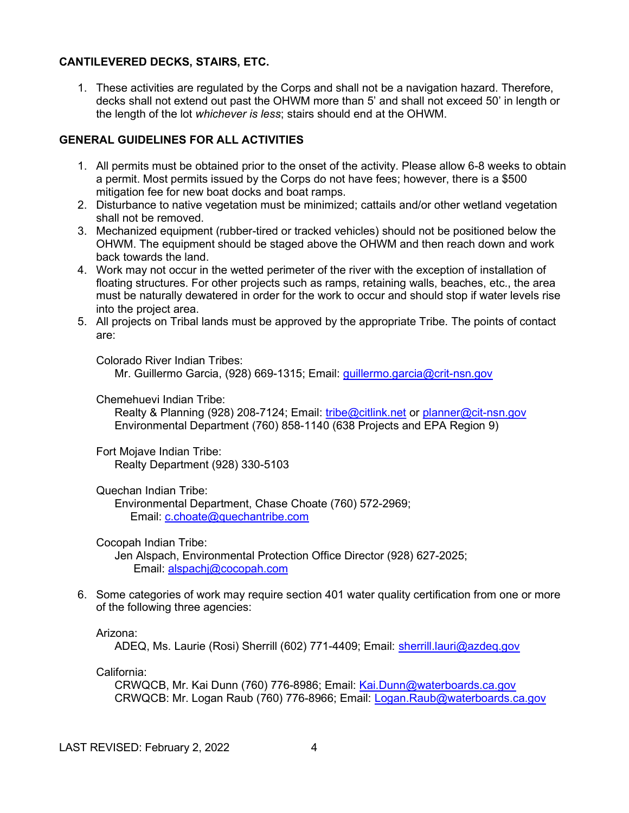### CANTILEVERED DECKS, STAIRS, ETC.

1. These activities are regulated by the Corps and shall not be a navigation hazard. Therefore, decks shall not extend out past the OHWM more than 5' and shall not exceed 50' in length or the length of the lot whichever is less: stairs should end at the OHWM.

#### GENERAL GUIDELINES FOR ALL ACTIVITIES

- 1. All permits must be obtained prior to the onset of the activity. Please allow 6-8 weeks to obtain a permit. Most permits issued by the Corps do not have fees; however, there is a \$500 mitigation fee for new boat docks and boat ramps.
- 2. Disturbance to native vegetation must be minimized; cattails and/or other wetland vegetation shall not be removed.
- 3. Mechanized equipment (rubber-tired or tracked vehicles) should not be positioned below the OHWM. The equipment should be staged above the OHWM and then reach down and work back towards the land.
- 4. Work may not occur in the wetted perimeter of the river with the exception of installation of floating structures. For other projects such as ramps, retaining walls, beaches, etc., the area must be naturally dewatered in order for the work to occur and should stop if water levels rise into the project area.
- 5. All projects on Tribal lands must be approved by the appropriate Tribe. The points of contact are:

Colorado River Indian Tribes:

Mr. Guillermo Garcia, (928) 669-1315; Email: guillermo.garcia@crit-nsn.gov

Chemehuevi Indian Tribe:

Realty & Planning (928) 208-7124; Email: tribe@citlink.net or planner@cit-nsn.gov Environmental Department (760) 858-1140 (638 Projects and EPA Region 9)

Fort Mojave Indian Tribe: Realty Department (928) 330-5103

Quechan Indian Tribe:

Environmental Department, Chase Choate (760) 572-2969; Email: c.choate@quechantribe.com

Cocopah Indian Tribe:

Jen Alspach, Environmental Protection Office Director (928) 627-2025; Email: alspachj@cocopah.com

6. Some categories of work may require section 401 water quality certification from one or more of the following three agencies:

#### Arizona:

ADEQ, Ms. Laurie (Rosi) Sherrill (602) 771-4409; Email: sherrill.lauri@azdeq.gov

California:

CRWQCB, Mr. Kai Dunn (760) 776-8986; Email: Kai.Dunn@waterboards.ca.gov CRWQCB: Mr. Logan Raub (760) 776-8966; Email: Logan.Raub@waterboards.ca.gov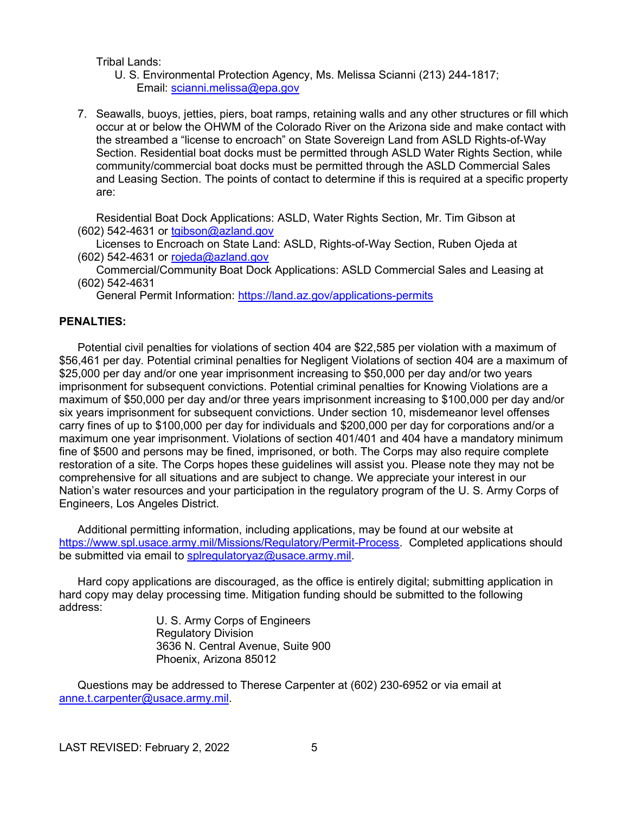Tribal Lands:

- U. S. Environmental Protection Agency, Ms. Melissa Scianni (213) 244-1817; Email: scianni.melissa@epa.gov
- 7. Seawalls, buoys, jetties, piers, boat ramps, retaining walls and any other structures or fill which occur at or below the OHWM of the Colorado River on the Arizona side and make contact with the streambed a "license to encroach" on State Sovereign Land from ASLD Rights-of-Way Section. Residential boat docks must be permitted through ASLD Water Rights Section, while community/commercial boat docks must be permitted through the ASLD Commercial Sales and Leasing Section. The points of contact to determine if this is required at a specific property are:

Residential Boat Dock Applications: ASLD, Water Rights Section, Mr. Tim Gibson at (602) 542-4631 or tgibson@azland.gov

Licenses to Encroach on State Land: ASLD, Rights-of-Way Section, Ruben Ojeda at  $(602)$  542-4631 or rojeda@azland.gov

Commercial/Community Boat Dock Applications: ASLD Commercial Sales and Leasing at (602) 542-4631

General Permit Information: https://land.az.gov/applications-permits

#### PENALTIES:

Potential civil penalties for violations of section 404 are \$22,585 per violation with a maximum of \$56,461 per day. Potential criminal penalties for Negligent Violations of section 404 are a maximum of \$25,000 per day and/or one year imprisonment increasing to \$50,000 per day and/or two years imprisonment for subsequent convictions. Potential criminal penalties for Knowing Violations are a maximum of \$50,000 per day and/or three years imprisonment increasing to \$100,000 per day and/or six years imprisonment for subsequent convictions. Under section 10, misdemeanor level offenses carry fines of up to \$100,000 per day for individuals and \$200,000 per day for corporations and/or a maximum one year imprisonment. Violations of section 401/401 and 404 have a mandatory minimum fine of \$500 and persons may be fined, imprisoned, or both. The Corps may also require complete restoration of a site. The Corps hopes these guidelines will assist you. Please note they may not be comprehensive for all situations and are subject to change. We appreciate your interest in our Nation's water resources and your participation in the regulatory program of the U. S. Army Corps of Engineers, Los Angeles District.

Additional permitting information, including applications, may be found at our website at https://www.spl.usace.army.mil/Missions/Regulatory/Permit-Process. Completed applications should be submitted via email to splregulatoryaz@usace.army.mil.

Hard copy applications are discouraged, as the office is entirely digital; submitting application in hard copy may delay processing time. Mitigation funding should be submitted to the following address:

> U. S. Army Corps of Engineers Regulatory Division 3636 N. Central Avenue, Suite 900 Phoenix, Arizona 85012

Questions may be addressed to Therese Carpenter at (602) 230-6952 or via email at anne.t.carpenter@usace.army.mil.